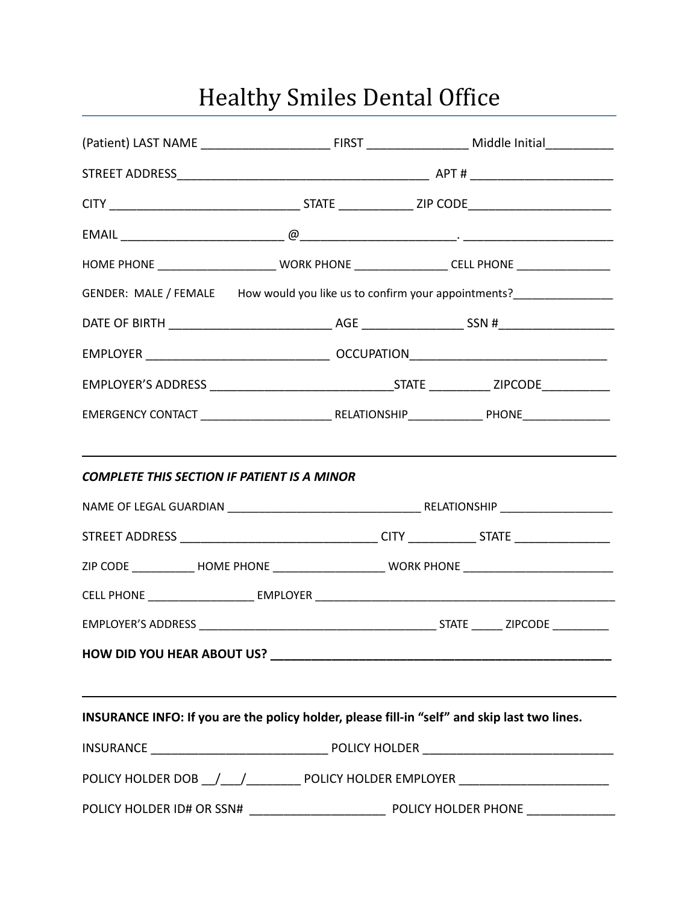# Healthy Smiles Dental Office

| GENDER: MALE / FEMALE How would you like us to confirm your appointments?______________              |  |  |  |  |  |  |  |
|------------------------------------------------------------------------------------------------------|--|--|--|--|--|--|--|
|                                                                                                      |  |  |  |  |  |  |  |
|                                                                                                      |  |  |  |  |  |  |  |
|                                                                                                      |  |  |  |  |  |  |  |
|                                                                                                      |  |  |  |  |  |  |  |
| STREET ADDRESS __________________________________CITY ______________STATE ______________             |  |  |  |  |  |  |  |
| ZIP CODE _____________ HOME PHONE ______________________________WORK PHONE _________________________ |  |  |  |  |  |  |  |
|                                                                                                      |  |  |  |  |  |  |  |
|                                                                                                      |  |  |  |  |  |  |  |
|                                                                                                      |  |  |  |  |  |  |  |
| INSURANCE INFO: If you are the policy holder, please fill-in "self" and skip last two lines.         |  |  |  |  |  |  |  |
|                                                                                                      |  |  |  |  |  |  |  |
| POLICY HOLDER DOB __/ ___/ __________ POLICY HOLDER EMPLOYER ___________________                     |  |  |  |  |  |  |  |
|                                                                                                      |  |  |  |  |  |  |  |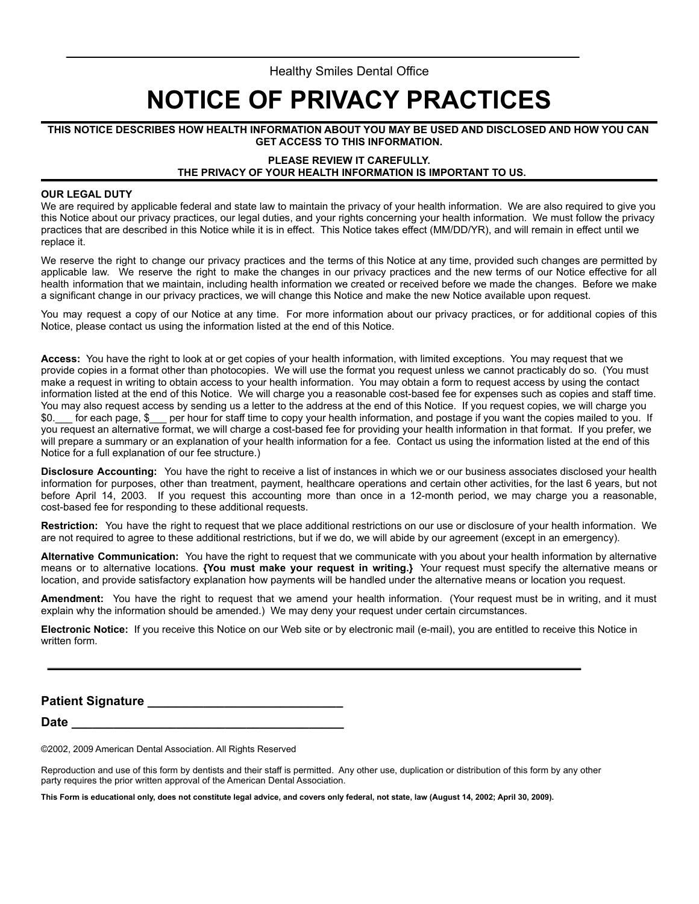Healthy Smiles Dental Office

## **NOTICE OF PRIVACY PRACTICES**

#### **THIS NOTICE DESCRIBES HOW HEALTH INFORMATION ABOUT YOU MAY BE USED AND DISCLOSED AND HOW YOU CAN GET ACCESS TO THIS INFORMATION.**

#### **PLEASE REVIEW IT CAREFULLY. THE PRIVACY OF YOUR HEALTH INFORMATION IS IMPORTANT TO US.**

#### **OUR LEGAL DUTY**

We are required by applicable federal and state law to maintain the privacy of your health information. We are also required to give you this Notice about our privacy practices, our legal duties, and your rights concerning your health information. We must follow the privacy practices that are described in this Notice while it is in effect. This Notice takes effect (MM/DD/YR), and will remain in effect until we replace it.

We reserve the right to change our privacy practices and the terms of this Notice at any time, provided such changes are permitted by applicable law. We reserve the right to make the changes in our privacy practices and the new terms of our Notice effective for all health information that we maintain, including health information we created or received before we made the changes. Before we make a significant change in our privacy practices, we will change this Notice and make the new Notice available upon request.

You may request a copy of our Notice at any time. For more information about our privacy practices, or for additional copies of this Notice, please contact us using the information listed at the end of this Notice.

**Access:** You have the right to look at or get copies of your health information, with limited exceptions. You may request that we provide copies in a format other than photocopies. We will use the format you request unless we cannot practicably do so. (You must make a request in writing to obtain access to your health information. You may obtain a form to request access by using the contact information listed at the end of this Notice. We will charge you a reasonable cost-based fee for expenses such as copies and staff time. You may also request access by sending us a letter to the address at the end of this Notice. If you request copies, we will charge you \$0.\_\_\_ for each page, \$\_\_\_ per hour for staff time to copy your health information, and postage if you want the copies mailed to you. If you request an alternative format, we will charge a cost-based fee for providing your health information in that format. If you prefer, we will prepare a summary or an explanation of your health information for a fee. Contact us using the information listed at the end of this Notice for a full explanation of our fee structure.)

**Disclosure Accounting:** You have the right to receive a list of instances in which we or our business associates disclosed your health information for purposes, other than treatment, payment, healthcare operations and certain other activities, for the last 6 years, but not before April 14, 2003. If you request this accounting more than once in a 12-month period, we may charge you a reasonable, cost-based fee for responding to these additional requests.

**Restriction:** You have the right to request that we place additional restrictions on our use or disclosure of your health information. We are not required to agree to these additional restrictions, but if we do, we will abide by our agreement (except in an emergency).

**Alternative Communication:** You have the right to request that we communicate with you about your health information by alternative means or to alternative locations. **{You must make your request in writing.}** Your request must specify the alternative means or location, and provide satisfactory explanation how payments will be handled under the alternative means or location you request.

**Amendment:** You have the right to request that we amend your health information. (Your request must be in writing, and it must explain why the information should be amended.) We may deny your request under certain circumstances.

**Electronic Notice:** If you receive this Notice on our Web site or by electronic mail (e-mail), you are entitled to receive this Notice in written form.

**Patient Signature \_\_\_\_\_\_\_\_\_\_\_\_\_\_\_\_\_\_\_\_\_\_\_\_\_\_\_\_**

**Date \_\_\_\_\_\_\_\_\_\_\_\_\_\_\_\_\_\_\_\_\_\_\_\_\_\_\_\_\_\_\_\_\_\_\_\_\_\_\_**

©2002, 2009 American Dental Association. All Rights Reserved

Reproduction and use of this form by dentists and their staff is permitted. Any other use, duplication or distribution of this form by any other party requires the prior written approval of the American Dental Association.

This Form is educational only, does not constitute legal advice, and covers only federal, not state, law (August 14, 2002; April 30, 2009).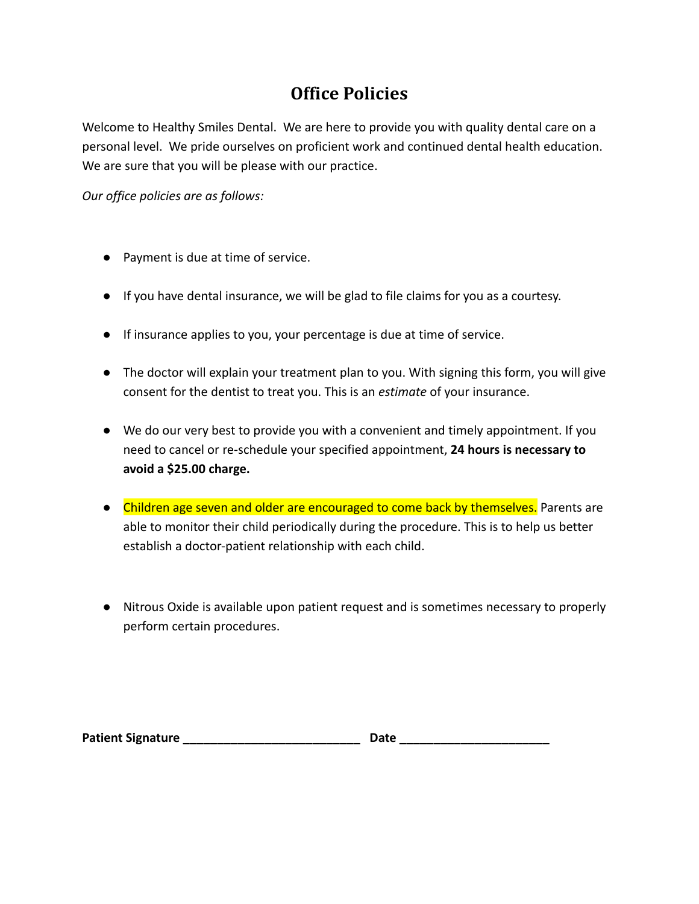### **Office Policies**

Welcome to Healthy Smiles Dental. We are here to provide you with quality dental care on a personal level. We pride ourselves on proficient work and continued dental health education. We are sure that you will be please with our practice.

*Our office policies are as follows:*

- Payment is due at time of service.
- If you have dental insurance, we will be glad to file claims for you as a courtesy.
- If insurance applies to you, your percentage is due at time of service.
- The doctor will explain your treatment plan to you. With signing this form, you will give consent for the dentist to treat you. This is an *estimate* of your insurance.
- **●** We do our very best to provide you with a convenient and timely appointment. If you need to cancel or re-schedule your specified appointment, **24 hours is necessary to avoid a \$25.00 charge.**
- **●** Children age seven and older are encouraged to come back by themselves. Parents are able to monitor their child periodically during the procedure. This is to help us better establish a doctor-patient relationship with each child.
- **●** Nitrous Oxide is available upon patient request and is sometimes necessary to properly perform certain procedures.

| <b>Patient Signature</b> | Date |
|--------------------------|------|
|--------------------------|------|